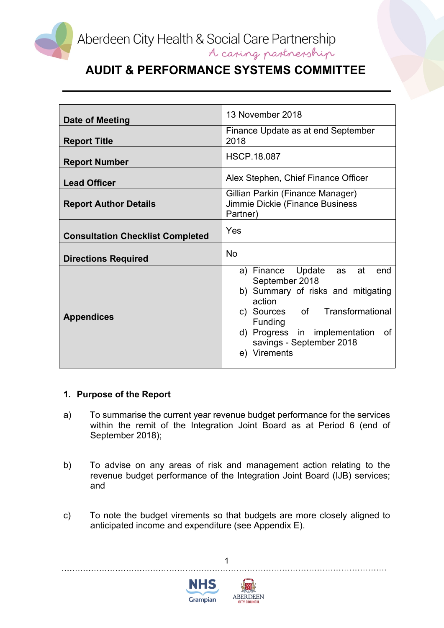Aberdeen City Health & Social Care Partnership

A caning partnership

# **AUDIT & PERFORMANCE SYSTEMS COMMITTEE**

|                                         | 13 November 2018                    |  |  |
|-----------------------------------------|-------------------------------------|--|--|
| Date of Meeting                         |                                     |  |  |
|                                         | Finance Update as at end September  |  |  |
| <b>Report Title</b>                     | 2018                                |  |  |
|                                         |                                     |  |  |
| <b>Report Number</b>                    | <b>HSCP.18.087</b>                  |  |  |
|                                         |                                     |  |  |
| <b>Lead Officer</b>                     | Alex Stephen, Chief Finance Officer |  |  |
|                                         | Gillian Parkin (Finance Manager)    |  |  |
|                                         |                                     |  |  |
| <b>Report Author Details</b>            | Jimmie Dickie (Finance Business     |  |  |
|                                         | Partner)                            |  |  |
|                                         | Yes                                 |  |  |
| <b>Consultation Checklist Completed</b> |                                     |  |  |
|                                         |                                     |  |  |
| <b>Directions Required</b>              | <b>No</b>                           |  |  |
|                                         | a) Finance Update as<br>at<br>end   |  |  |
|                                         | September 2018                      |  |  |
|                                         |                                     |  |  |
|                                         | b) Summary of risks and mitigating  |  |  |
|                                         | action                              |  |  |
| <b>Appendices</b>                       | c) Sources of Transformational      |  |  |
|                                         | <b>Funding</b>                      |  |  |
|                                         | d) Progress in implementation<br>0f |  |  |
|                                         | savings - September 2018            |  |  |
|                                         | e) Virements                        |  |  |
|                                         |                                     |  |  |

#### **1. Purpose of the Report**

- a) To summarise the current year revenue budget performance for the services within the remit of the Integration Joint Board as at Period 6 (end of September 2018);
- b) To advise on any areas of risk and management action relating to the revenue budget performance of the Integration Joint Board (IJB) services; and
- c) To note the budget virements so that budgets are more closely aligned to anticipated income and expenditure (see Appendix E).

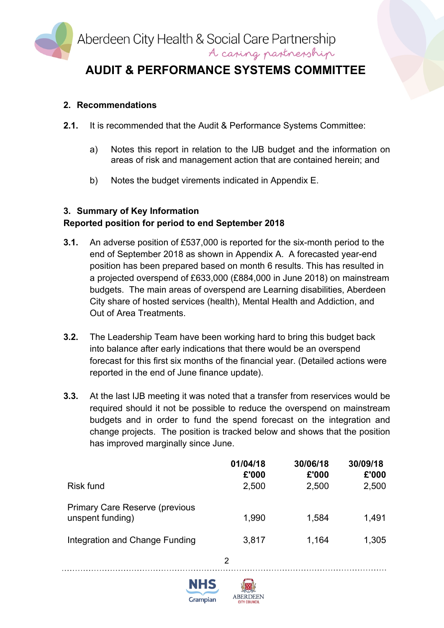

#### **2. Recommendations**

- **2.1.** It is recommended that the Audit & Performance Systems Committee:
	- a) Notes this report in relation to the IJB budget and the information on areas of risk and management action that are contained herein; and
	- b) Notes the budget virements indicated in Appendix E.

### **3. Summary of Key Information**

#### **Reported position for period to end September 2018**

- **3.1.** An adverse position of £537,000 is reported for the six-month period to the end of September 2018 as shown in Appendix A. A forecasted year-end position has been prepared based on month 6 results. This has resulted in a projected overspend of £633,000 (£884,000 in June 2018) on mainstream budgets. The main areas of overspend are Learning disabilities, Aberdeen City share of hosted services (health), Mental Health and Addiction, and Out of Area Treatments.
- **3.2.** The Leadership Team have been working hard to bring this budget back into balance after early indications that there would be an overspend forecast for this first six months of the financial year. (Detailed actions were reported in the end of June finance update).
- **3.3.** At the last IJB meeting it was noted that a transfer from reservices would be required should it not be possible to reduce the overspend on mainstream budgets and in order to fund the spend forecast on the integration and change projects. The position is tracked below and shows that the position has improved marginally since June.

|                                                           | 01/04/18<br>£'000 | 30/06/18<br>£'000 | 30/09/18<br>£'000 |
|-----------------------------------------------------------|-------------------|-------------------|-------------------|
| Risk fund                                                 | 2,500             | 2,500             | 2,500             |
| <b>Primary Care Reserve (previous</b><br>unspent funding) | 1,990             | 1,584             | 1,491             |
| Integration and Change Funding                            | 3,817             | 1,164             | 1,305             |

 $\mathfrak{p}$ 

NHS **Grampian** 

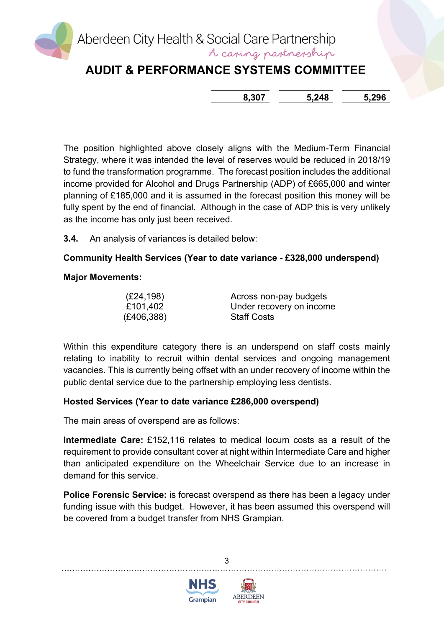Aberdeen City Health & Social Care Partnership

A caping partnership

# **AUDIT & PERFORMANCE SYSTEMS COMMITTEE**

**8,307 5,248 5,296**

The position highlighted above closely aligns with the Medium-Term Financial Strategy, where it was intended the level of reserves would be reduced in 2018/19 to fund the transformation programme. The forecast position includes the additional income provided for Alcohol and Drugs Partnership (ADP) of £665,000 and winter planning of £185,000 and it is assumed in the forecast position this money will be fully spent by the end of financial. Although in the case of ADP this is very unlikely as the income has only just been received.

**3.4.** An analysis of variances is detailed below:

### **Community Health Services (Year to date variance - £328,000 underspend)**

### **Major Movements:**

| (E24, 198) | Across non-pay budgets   |
|------------|--------------------------|
| £101,402   | Under recovery on income |
| (E406,388) | <b>Staff Costs</b>       |

Within this expenditure category there is an underspend on staff costs mainly relating to inability to recruit within dental services and ongoing management vacancies. This is currently being offset with an under recovery of income within the public dental service due to the partnership employing less dentists.

### **Hosted Services (Year to date variance £286,000 overspend)**

The main areas of overspend are as follows:

**Intermediate Care:** £152,116 relates to medical locum costs as a result of the requirement to provide consultant cover at night within Intermediate Care and higher than anticipated expenditure on the Wheelchair Service due to an increase in demand for this service.

**Police Forensic Service:** is forecast overspend as there has been a legacy under funding issue with this budget. However, it has been assumed this overspend will be covered from a budget transfer from NHS Grampian.



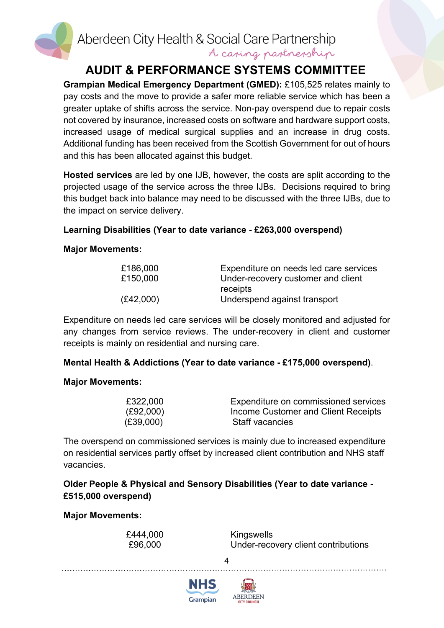Aberdeen City Health & Social Care Partnership A caping partnership

## **AUDIT & PERFORMANCE SYSTEMS COMMITTEE**

**Grampian Medical Emergency Department (GMED):** £105,525 relates mainly to pay costs and the move to provide a safer more reliable service which has been a greater uptake of shifts across the service. Non-pay overspend due to repair costs not covered by insurance, increased costs on software and hardware support costs, increased usage of medical surgical supplies and an increase in drug costs. Additional funding has been received from the Scottish Government for out of hours and this has been allocated against this budget.

**Hosted services** are led by one IJB, however, the costs are split according to the projected usage of the service across the three IJBs. Decisions required to bring this budget back into balance may need to be discussed with the three IJBs, due to the impact on service delivery.

#### **Learning Disabilities (Year to date variance - £263,000 overspend)**

#### **Major Movements:**

| £186,000  | Expenditure on needs led care services |
|-----------|----------------------------------------|
| £150,000  | Under-recovery customer and client     |
|           | receipts                               |
| (£42,000) | Underspend against transport           |
|           |                                        |

Expenditure on needs led care services will be closely monitored and adjusted for any changes from service reviews. The under-recovery in client and customer receipts is mainly on residential and nursing care.

#### **Mental Health & Addictions (Year to date variance - £175,000 overspend)**.

#### **Major Movements:**

| £322,000  | Expenditure on commissioned services |
|-----------|--------------------------------------|
| (E92,000) | Income Customer and Client Receipts  |
| (E39,000) | Staff vacancies                      |

The overspend on commissioned services is mainly due to increased expenditure on residential services partly offset by increased client contribution and NHS staff vacancies.

**Older People & Physical and Sensory Disabilities (Year to date variance - £515,000 overspend)**

**Major Movements:**

£444,000 Kingswells

£96,000 Under-recovery client contributions



**ABERDEEN** 

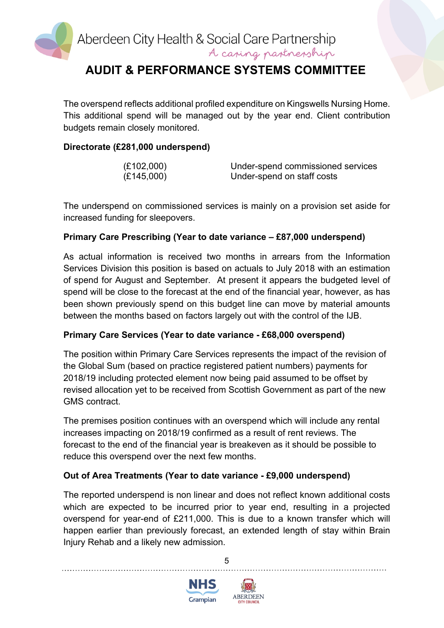

The overspend reflects additional profiled expenditure on Kingswells Nursing Home. This additional spend will be managed out by the year end. Client contribution budgets remain closely monitored.

#### **Directorate (£281,000 underspend)**

| (E102,000) | Under-spend commissioned services |
|------------|-----------------------------------|
| (E145,000) | Under-spend on staff costs        |

The underspend on commissioned services is mainly on a provision set aside for increased funding for sleepovers.

#### **Primary Care Prescribing (Year to date variance – £87,000 underspend)**

As actual information is received two months in arrears from the Information Services Division this position is based on actuals to July 2018 with an estimation of spend for August and September. At present it appears the budgeted level of spend will be close to the forecast at the end of the financial year, however, as has been shown previously spend on this budget line can move by material amounts between the months based on factors largely out with the control of the IJB.

#### **Primary Care Services (Year to date variance - £68,000 overspend)**

The position within Primary Care Services represents the impact of the revision of the Global Sum (based on practice registered patient numbers) payments for 2018/19 including protected element now being paid assumed to be offset by revised allocation yet to be received from Scottish Government as part of the new GMS contract.

The premises position continues with an overspend which will include any rental increases impacting on 2018/19 confirmed as a result of rent reviews. The forecast to the end of the financial year is breakeven as it should be possible to reduce this overspend over the next few months.

### **Out of Area Treatments (Year to date variance - £9,000 underspend)**

The reported underspend is non linear and does not reflect known additional costs which are expected to be incurred prior to year end, resulting in a projected overspend for year-end of £211,000. This is due to a known transfer which will happen earlier than previously forecast, an extended length of stay within Brain Injury Rehab and a likely new admission.



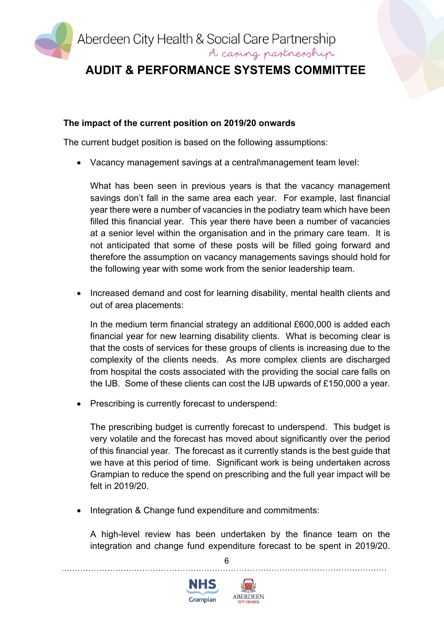

#### **The impact of the current position on 2019/20 onwards**

The current budget position is based on the following assumptions:

Vacancy management savings at a central\management team level:

What has been seen in previous years is that the vacancy management savings don't fall in the same area each year. For example, last financial year there were a number of vacancies in the podiatry team which have been filled this financial year. This year there have been a number of vacancies at a senior level within the organisation and in the primary care team. It is not anticipated that some of these posts will be filled going forward and therefore the assumption on vacancy managements savings should hold for the following year with some work from the senior leadership team.

• Increased demand and cost for learning disability, mental health clients and out of area placements:

In the medium term financial strategy an additional £600,000 is added each financial year for new learning disability clients. What is becoming clear is that the costs of services for these groups of clients is increasing due to the complexity of the clients needs. As more complex clients are discharged from hospital the costs associated with the providing the social care falls on the IJB. Some of these clients can cost the IJB upwards of £150,000 a year.

Prescribing is currently forecast to underspend:

The prescribing budget is currently forecast to underspend. This budget is very volatile and the forecast has moved about significantly over the period of this financial year. The forecast as it currently stands is the best guide that we have at this period of time. Significant work is being undertaken across Grampian to reduce the spend on prescribing and the full year impact will be felt in 2019/20.

• Integration & Change fund expenditure and commitments:

A high-level review has been undertaken by the finance team on the integration and change fund expenditure forecast to be spent in 2019/20.



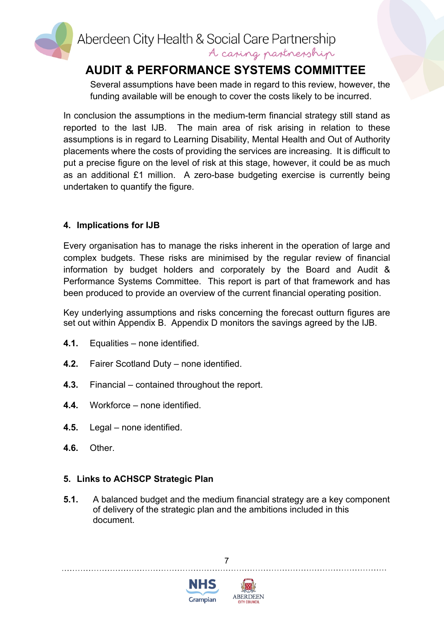

Several assumptions have been made in regard to this review, however, the funding available will be enough to cover the costs likely to be incurred.

In conclusion the assumptions in the medium-term financial strategy still stand as reported to the last IJB. The main area of risk arising in relation to these assumptions is in regard to Learning Disability, Mental Health and Out of Authority placements where the costs of providing the services are increasing. It is difficult to put a precise figure on the level of risk at this stage, however, it could be as much as an additional £1 million. A zero-base budgeting exercise is currently being undertaken to quantify the figure.

### **4. Implications for IJB**

Every organisation has to manage the risks inherent in the operation of large and complex budgets. These risks are minimised by the regular review of financial information by budget holders and corporately by the Board and Audit & Performance Systems Committee. This report is part of that framework and has been produced to provide an overview of the current financial operating position.

Key underlying assumptions and risks concerning the forecast outturn figures are set out within Appendix B. Appendix D monitors the savings agreed by the IJB.

- **4.1.** Equalities none identified.
- **4.2.** Fairer Scotland Duty none identified.
- **4.3.** Financial contained throughout the report.
- **4.4.** Workforce none identified.
- **4.5.** Legal none identified.
- **4.6.** Other.

#### **5. Links to ACHSCP Strategic Plan**

**5.1.** A balanced budget and the medium financial strategy are a key component of delivery of the strategic plan and the ambitions included in this document.



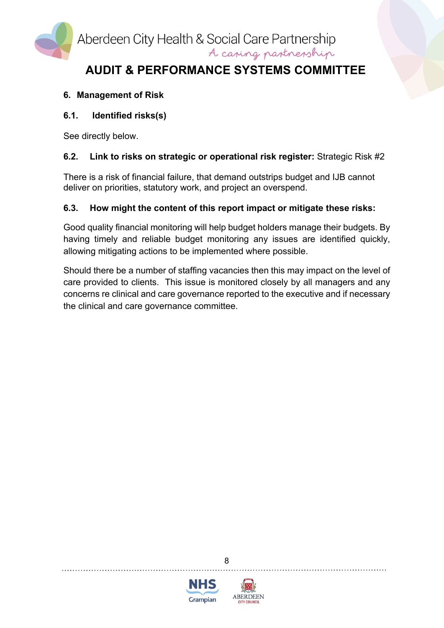

#### **6. Management of Risk**

#### **6.1. Identified risks(s)**

See directly below.

#### **6.2. Link to risks on strategic or operational risk register:** Strategic Risk #2

There is a risk of financial failure, that demand outstrips budget and IJB cannot deliver on priorities, statutory work, and project an overspend.

#### **6.3. How might the content of this report impact or mitigate these risks:**

Good quality financial monitoring will help budget holders manage their budgets. By having timely and reliable budget monitoring any issues are identified quickly, allowing mitigating actions to be implemented where possible.

Should there be a number of staffing vacancies then this may impact on the level of care provided to clients. This issue is monitored closely by all managers and any concerns re clinical and care governance reported to the executive and if necessary the clinical and care governance committee.



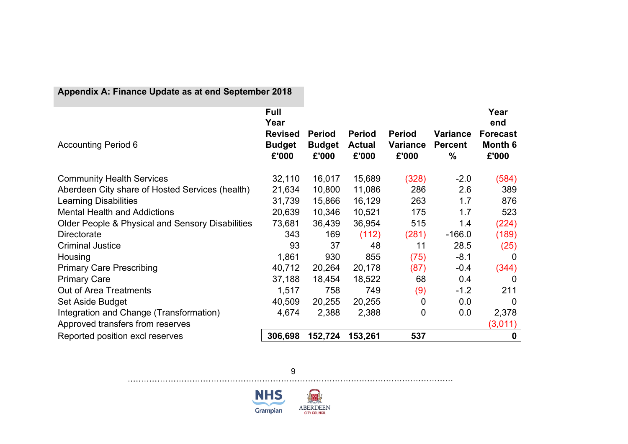|                                                  | <b>Full</b><br>Year                      |                                         |                                         |                                    |                                           | Year<br>end                         |
|--------------------------------------------------|------------------------------------------|-----------------------------------------|-----------------------------------------|------------------------------------|-------------------------------------------|-------------------------------------|
| <b>Accounting Period 6</b>                       | <b>Revised</b><br><b>Budget</b><br>£'000 | <b>Period</b><br><b>Budget</b><br>£'000 | <b>Period</b><br><b>Actual</b><br>£'000 | <b>Period</b><br>Variance<br>£'000 | <b>Variance</b><br><b>Percent</b><br>$\%$ | <b>Forecast</b><br>Month 6<br>£'000 |
| <b>Community Health Services</b>                 | 32,110                                   | 16,017                                  | 15,689                                  | (328)                              | $-2.0$                                    | (584)                               |
| Aberdeen City share of Hosted Services (health)  | 21,634                                   | 10,800                                  | 11,086                                  | 286                                | 2.6                                       | 389                                 |
| <b>Learning Disabilities</b>                     | 31,739                                   | 15,866                                  | 16,129                                  | 263                                | 1.7                                       | 876                                 |
| <b>Mental Health and Addictions</b>              | 20,639                                   | 10,346                                  | 10,521                                  | 175                                | 1.7                                       | 523                                 |
| Older People & Physical and Sensory Disabilities | 73,681                                   | 36,439                                  | 36,954                                  | 515                                | 1.4                                       | (224)                               |
| <b>Directorate</b>                               | 343                                      | 169                                     | (112)                                   | (281)                              | $-166.0$                                  | (189)                               |
| <b>Criminal Justice</b>                          | 93                                       | 37                                      | 48                                      | 11                                 | 28.5                                      | (25)                                |
| Housing                                          | 1,861                                    | 930                                     | 855                                     | (75)                               | $-8.1$                                    | 0                                   |
| <b>Primary Care Prescribing</b>                  | 40,712                                   | 20,264                                  | 20,178                                  | (87)                               | $-0.4$                                    | (344)                               |
| <b>Primary Care</b>                              | 37,188                                   | 18,454                                  | 18,522                                  | 68                                 | 0.4                                       | $\overline{0}$                      |
| Out of Area Treatments                           | 1,517                                    | 758                                     | 749                                     | (9)                                | $-1.2$                                    | 211                                 |
| Set Aside Budget                                 | 40,509                                   | 20,255                                  | 20,255                                  | 0                                  | 0.0                                       | $\overline{0}$                      |
| Integration and Change (Transformation)          | 4,674                                    | 2,388                                   | 2,388                                   | 0                                  | 0.0                                       | 2,378                               |
| Approved transfers from reserves                 |                                          |                                         |                                         |                                    |                                           | (3,011)                             |
| Reported position excl reserves                  | 306,698                                  | 152,724                                 | 153,261                                 | 537                                |                                           | $\mathbf 0$                         |

**Appendix A: Finance Update as at end September 2018**

. . . . . . . . . . . . . . . . . .



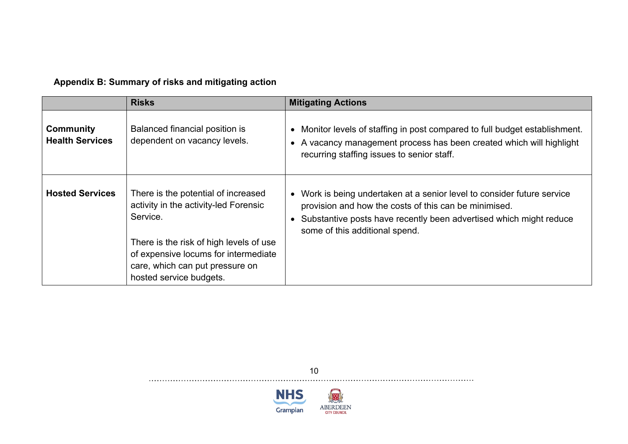## **Appendix B: Summary of risks and mitigating action**

. . . . . . . . . . . .

|                                            | <b>Risks</b>                                                                                                                                                                                                                              | <b>Mitigating Actions</b>                                                                                                                                                                                                                           |
|--------------------------------------------|-------------------------------------------------------------------------------------------------------------------------------------------------------------------------------------------------------------------------------------------|-----------------------------------------------------------------------------------------------------------------------------------------------------------------------------------------------------------------------------------------------------|
| <b>Community</b><br><b>Health Services</b> | Balanced financial position is<br>dependent on vacancy levels.                                                                                                                                                                            | Monitor levels of staffing in post compared to full budget establishment.<br>A vacancy management process has been created which will highlight<br>recurring staffing issues to senior staff.                                                       |
| <b>Hosted Services</b>                     | There is the potential of increased<br>activity in the activity-led Forensic<br>Service.<br>There is the risk of high levels of use<br>of expensive locums for intermediate<br>care, which can put pressure on<br>hosted service budgets. | Work is being undertaken at a senior level to consider future service<br>$\bullet$<br>provision and how the costs of this can be minimised.<br>Substantive posts have recently been advertised which might reduce<br>some of this additional spend. |



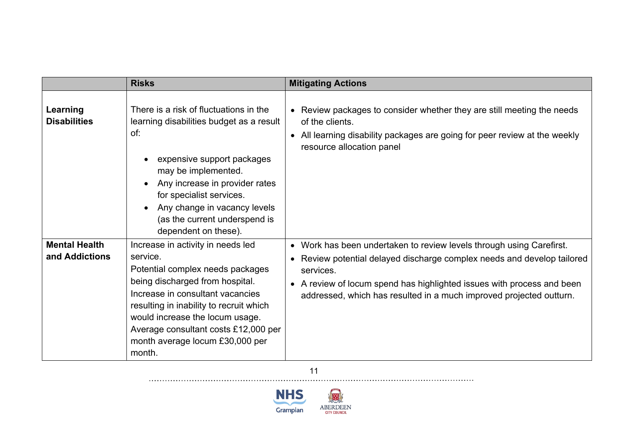|                                        | <b>Risks</b>                                                                                                                                                                                                                                                                                                                | <b>Mitigating Actions</b>                                                                                                                                                                                                                                                                                     |
|----------------------------------------|-----------------------------------------------------------------------------------------------------------------------------------------------------------------------------------------------------------------------------------------------------------------------------------------------------------------------------|---------------------------------------------------------------------------------------------------------------------------------------------------------------------------------------------------------------------------------------------------------------------------------------------------------------|
| Learning<br><b>Disabilities</b>        | There is a risk of fluctuations in the<br>learning disabilities budget as a result<br>of:<br>expensive support packages<br>may be implemented.<br>Any increase in provider rates<br>for specialist services.<br>Any change in vacancy levels<br>(as the current underspend is<br>dependent on these).                       | • Review packages to consider whether they are still meeting the needs<br>of the clients.<br>• All learning disability packages are going for peer review at the weekly<br>resource allocation panel                                                                                                          |
| <b>Mental Health</b><br>and Addictions | Increase in activity in needs led<br>service.<br>Potential complex needs packages<br>being discharged from hospital.<br>Increase in consultant vacancies<br>resulting in inability to recruit which<br>would increase the locum usage.<br>Average consultant costs £12,000 per<br>month average locum £30,000 per<br>month. | • Work has been undertaken to review levels through using Carefirst.<br>• Review potential delayed discharge complex needs and develop tailored<br>services.<br>• A review of locum spend has highlighted issues with process and been<br>addressed, which has resulted in a much improved projected outturn. |

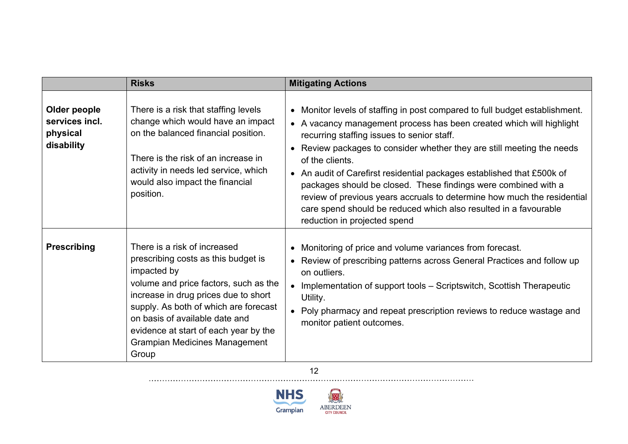|                                                          | <b>Risks</b>                                                                                                                                                                                                                                                                                                                             | <b>Mitigating Actions</b>                                                                                                                                                                                                                                                                                                                                                                                                                                                                                                                                                                                               |
|----------------------------------------------------------|------------------------------------------------------------------------------------------------------------------------------------------------------------------------------------------------------------------------------------------------------------------------------------------------------------------------------------------|-------------------------------------------------------------------------------------------------------------------------------------------------------------------------------------------------------------------------------------------------------------------------------------------------------------------------------------------------------------------------------------------------------------------------------------------------------------------------------------------------------------------------------------------------------------------------------------------------------------------------|
| Older people<br>services incl.<br>physical<br>disability | There is a risk that staffing levels<br>change which would have an impact<br>on the balanced financial position.<br>There is the risk of an increase in<br>activity in needs led service, which<br>would also impact the financial<br>position.                                                                                          | • Monitor levels of staffing in post compared to full budget establishment.<br>• A vacancy management process has been created which will highlight<br>recurring staffing issues to senior staff.<br>Review packages to consider whether they are still meeting the needs<br>of the clients.<br>• An audit of Carefirst residential packages established that £500k of<br>packages should be closed. These findings were combined with a<br>review of previous years accruals to determine how much the residential<br>care spend should be reduced which also resulted in a favourable<br>reduction in projected spend |
| <b>Prescribing</b>                                       | There is a risk of increased<br>prescribing costs as this budget is<br>impacted by<br>volume and price factors, such as the<br>increase in drug prices due to short<br>supply. As both of which are forecast<br>on basis of available date and<br>evidence at start of each year by the<br><b>Grampian Medicines Management</b><br>Group | Monitoring of price and volume variances from forecast.<br>• Review of prescribing patterns across General Practices and follow up<br>on outliers.<br>• Implementation of support tools – Scriptswitch, Scottish Therapeutic<br>Utility.<br>• Poly pharmacy and repeat prescription reviews to reduce wastage and<br>monitor patient outcomes.                                                                                                                                                                                                                                                                          |



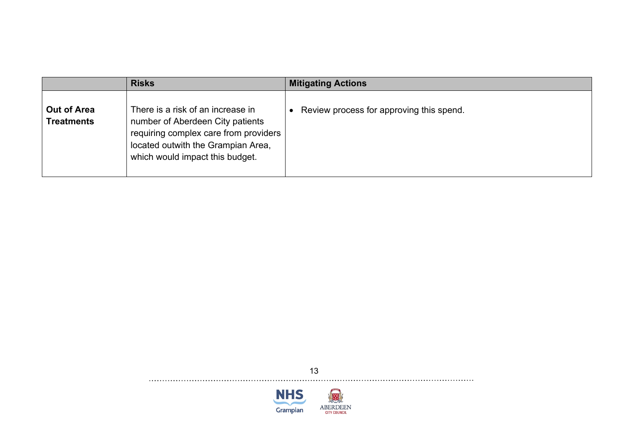|                                         | <b>Risks</b>                                                                                                                                                                            | <b>Mitigating Actions</b>                |
|-----------------------------------------|-----------------------------------------------------------------------------------------------------------------------------------------------------------------------------------------|------------------------------------------|
| <b>Out of Area</b><br><b>Treatments</b> | There is a risk of an increase in<br>number of Aberdeen City patients<br>requiring complex care from providers<br>located outwith the Grampian Area,<br>which would impact this budget. | Review process for approving this spend. |



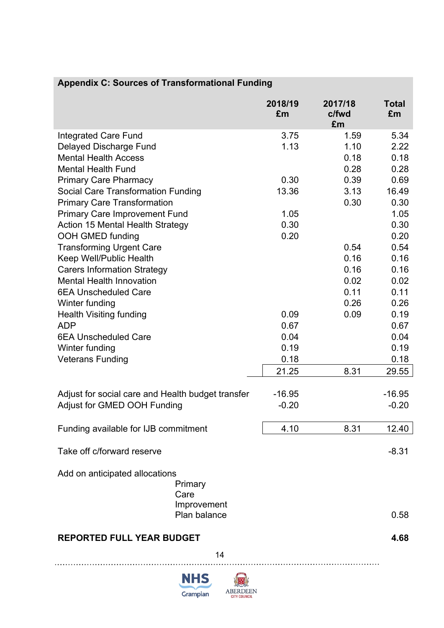|                                                   | 2018/19<br>£m | 2017/18<br>c/fwd<br>£m | <b>Total</b><br>£m |
|---------------------------------------------------|---------------|------------------------|--------------------|
| Integrated Care Fund                              | 3.75          | 1.59                   | 5.34               |
| Delayed Discharge Fund                            | 1.13          | 1.10                   | 2.22               |
| <b>Mental Health Access</b>                       |               | 0.18                   | 0.18               |
| <b>Mental Health Fund</b>                         |               | 0.28                   | 0.28               |
| <b>Primary Care Pharmacy</b>                      | 0.30          | 0.39                   | 0.69               |
| Social Care Transformation Funding                | 13.36         | 3.13                   | 16.49              |
| <b>Primary Care Transformation</b>                |               | 0.30                   | 0.30               |
| <b>Primary Care Improvement Fund</b>              | 1.05          |                        | 1.05               |
| <b>Action 15 Mental Health Strategy</b>           | 0.30          |                        | 0.30               |
| OOH GMED funding                                  | 0.20          |                        | 0.20               |
| <b>Transforming Urgent Care</b>                   |               | 0.54                   | 0.54               |
| Keep Well/Public Health                           |               | 0.16                   | 0.16               |
| <b>Carers Information Strategy</b>                |               | 0.16                   | 0.16               |
| <b>Mental Health Innovation</b>                   |               | 0.02                   | 0.02               |
| <b>6EA Unscheduled Care</b>                       |               | 0.11                   | 0.11               |
| Winter funding                                    |               | 0.26                   | 0.26               |
| <b>Health Visiting funding</b>                    | 0.09          | 0.09                   | 0.19               |
| <b>ADP</b>                                        | 0.67          |                        | 0.67               |
| <b>6EA Unscheduled Care</b>                       | 0.04          |                        | 0.04               |
| Winter funding                                    | 0.19          |                        | 0.19               |
| <b>Veterans Funding</b>                           | 0.18          |                        | 0.18               |
|                                                   | 21.25         | 8.31                   | 29.55              |
| Adjust for social care and Health budget transfer | $-16.95$      |                        | $-16.95$           |
| Adjust for GMED OOH Funding                       | $-0.20$       |                        | $-0.20$            |
| Funding available for IJB commitment              | 4.10          | 8.31                   | 12.40              |
| Take off c/forward reserve                        |               |                        | $-8.31$            |
| Add on anticipated allocations                    |               |                        |                    |
| Primary<br>Care                                   |               |                        |                    |
| Improvement<br>Plan balance                       |               |                        | 0.58               |
|                                                   |               |                        |                    |
| <b>REPORTED FULL YEAR BUDGET</b>                  |               |                        | 4.68               |
| 14                                                |               |                        |                    |





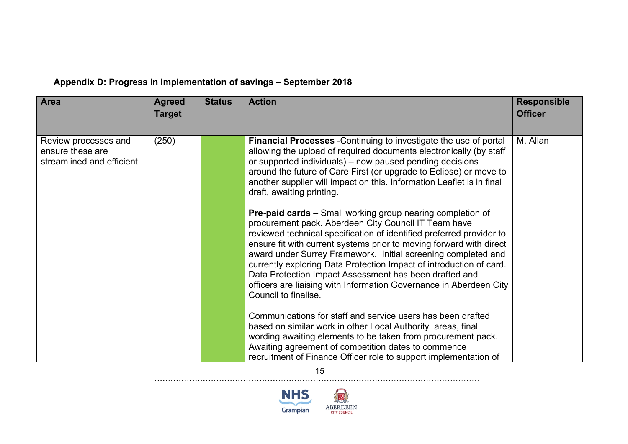## **Appendix D: Progress in implementation of savings – September 2018**

. . . . . .

| <b>Area</b>                                                           | <b>Agreed</b><br><b>Target</b> | <b>Status</b> | <b>Action</b>                                                                                                                                                                                                                                                                                                                                                                                                                                                                                                                                                                                                                                                      | <b>Responsible</b><br><b>Officer</b> |
|-----------------------------------------------------------------------|--------------------------------|---------------|--------------------------------------------------------------------------------------------------------------------------------------------------------------------------------------------------------------------------------------------------------------------------------------------------------------------------------------------------------------------------------------------------------------------------------------------------------------------------------------------------------------------------------------------------------------------------------------------------------------------------------------------------------------------|--------------------------------------|
| Review processes and<br>ensure these are<br>streamlined and efficient | (250)                          |               | <b>Financial Processes</b> - Continuing to investigate the use of portal<br>allowing the upload of required documents electronically (by staff<br>or supported individuals) – now paused pending decisions<br>around the future of Care First (or upgrade to Eclipse) or move to<br>another supplier will impact on this. Information Leaflet is in final<br>draft, awaiting printing.<br><b>Pre-paid cards</b> – Small working group nearing completion of<br>procurement pack. Aberdeen City Council IT Team have<br>reviewed technical specification of identified preferred provider to<br>ensure fit with current systems prior to moving forward with direct | M. Allan                             |
|                                                                       |                                |               | award under Surrey Framework. Initial screening completed and<br>currently exploring Data Protection Impact of introduction of card.<br>Data Protection Impact Assessment has been drafted and<br>officers are liaising with Information Governance in Aberdeen City<br>Council to finalise.                                                                                                                                                                                                                                                                                                                                                                       |                                      |
|                                                                       |                                |               | Communications for staff and service users has been drafted<br>based on similar work in other Local Authority areas, final<br>wording awaiting elements to be taken from procurement pack.<br>Awaiting agreement of competition dates to commence<br>recruitment of Finance Officer role to support implementation of                                                                                                                                                                                                                                                                                                                                              |                                      |

15



<u>. . . . . . . . . . . .</u>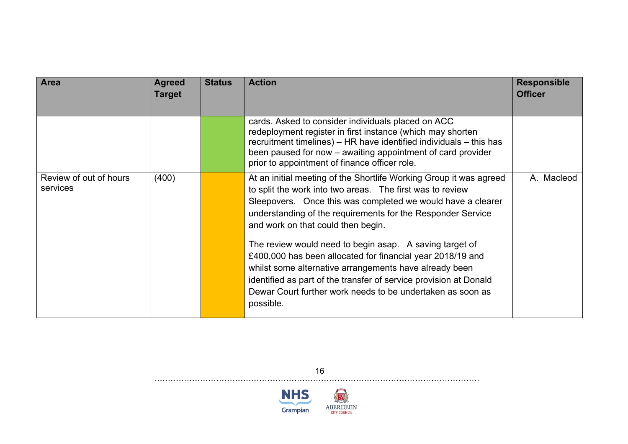| <b>Area</b>                        | <b>Agreed</b><br><b>Target</b> | <b>Status</b> | <b>Action</b>                                                                                                                                                                                                                                                                                                                                                                                                                                                                                                                                                                                                                          | <b>Responsible</b><br><b>Officer</b> |
|------------------------------------|--------------------------------|---------------|----------------------------------------------------------------------------------------------------------------------------------------------------------------------------------------------------------------------------------------------------------------------------------------------------------------------------------------------------------------------------------------------------------------------------------------------------------------------------------------------------------------------------------------------------------------------------------------------------------------------------------------|--------------------------------------|
|                                    |                                |               | cards. Asked to consider individuals placed on ACC<br>redeployment register in first instance (which may shorten<br>recruitment timelines) – HR have identified individuals – this has<br>been paused for now - awaiting appointment of card provider<br>prior to appointment of finance officer role.                                                                                                                                                                                                                                                                                                                                 |                                      |
| Review of out of hours<br>services | (400)                          |               | At an initial meeting of the Shortlife Working Group it was agreed<br>to split the work into two areas. The first was to review<br>Sleepovers. Once this was completed we would have a clearer<br>understanding of the requirements for the Responder Service<br>and work on that could then begin.<br>The review would need to begin asap. A saving target of<br>£400,000 has been allocated for financial year 2018/19 and<br>whilst some alternative arrangements have already been<br>identified as part of the transfer of service provision at Donald<br>Dewar Court further work needs to be undertaken as soon as<br>possible. | A. Macleod                           |

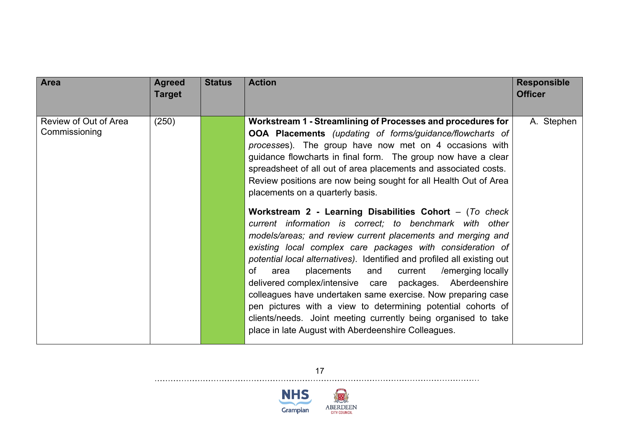| <b>Area</b>                            | <b>Agreed</b> | <b>Status</b> | <b>Action</b>                                                                                                                                                                                                                                                                                                                                                                                                                                                                                                                                                                                                                                                                                                                                                                                                                                                                                                                                                                                                                                                                                                                                        | <b>Responsible</b> |
|----------------------------------------|---------------|---------------|------------------------------------------------------------------------------------------------------------------------------------------------------------------------------------------------------------------------------------------------------------------------------------------------------------------------------------------------------------------------------------------------------------------------------------------------------------------------------------------------------------------------------------------------------------------------------------------------------------------------------------------------------------------------------------------------------------------------------------------------------------------------------------------------------------------------------------------------------------------------------------------------------------------------------------------------------------------------------------------------------------------------------------------------------------------------------------------------------------------------------------------------------|--------------------|
|                                        | <b>Target</b> |               |                                                                                                                                                                                                                                                                                                                                                                                                                                                                                                                                                                                                                                                                                                                                                                                                                                                                                                                                                                                                                                                                                                                                                      | <b>Officer</b>     |
|                                        |               |               |                                                                                                                                                                                                                                                                                                                                                                                                                                                                                                                                                                                                                                                                                                                                                                                                                                                                                                                                                                                                                                                                                                                                                      |                    |
| Review of Out of Area<br>Commissioning | (250)         |               | Workstream 1 - Streamlining of Processes and procedures for<br><b>OOA Placements</b> (updating of forms/guidance/flowcharts of<br>processes). The group have now met on 4 occasions with<br>guidance flowcharts in final form. The group now have a clear<br>spreadsheet of all out of area placements and associated costs.<br>Review positions are now being sought for all Health Out of Area<br>placements on a quarterly basis.<br>Workstream 2 - Learning Disabilities Cohort - (To check<br>current information is correct; to benchmark with other<br>models/areas; and review current placements and merging and<br>existing local complex care packages with consideration of<br>potential local alternatives). Identified and profiled all existing out<br>of<br>placements and current<br>/emerging locally<br>area<br>delivered complex/intensive care packages. Aberdeenshire<br>colleagues have undertaken same exercise. Now preparing case<br>pen pictures with a view to determining potential cohorts of<br>clients/needs. Joint meeting currently being organised to take<br>place in late August with Aberdeenshire Colleagues. | A. Stephen         |



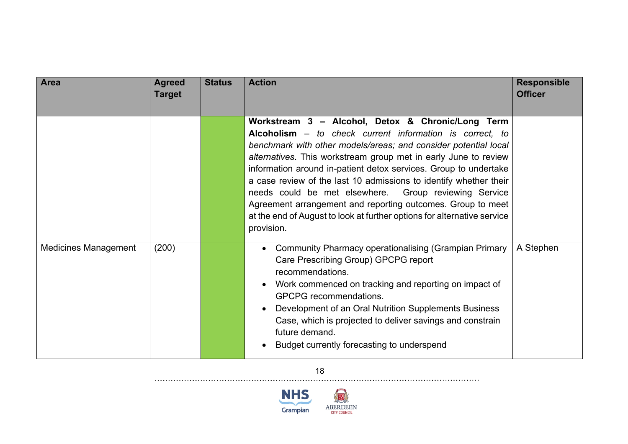| <b>Area</b>                 | <b>Agreed</b><br><b>Target</b> | <b>Status</b> | <b>Action</b>                                                                                                                                                                                                                                                                                                                                                                                                                                                                                                                                                                                                 | <b>Responsible</b><br><b>Officer</b> |
|-----------------------------|--------------------------------|---------------|---------------------------------------------------------------------------------------------------------------------------------------------------------------------------------------------------------------------------------------------------------------------------------------------------------------------------------------------------------------------------------------------------------------------------------------------------------------------------------------------------------------------------------------------------------------------------------------------------------------|--------------------------------------|
|                             |                                |               | Workstream 3 - Alcohol, Detox & Chronic/Long Term<br>Alcoholism - to check current information is correct, to<br>benchmark with other models/areas; and consider potential local<br>alternatives. This workstream group met in early June to review<br>information around in-patient detox services. Group to undertake<br>a case review of the last 10 admissions to identify whether their<br>needs could be met elsewhere. Group reviewing Service<br>Agreement arrangement and reporting outcomes. Group to meet<br>at the end of August to look at further options for alternative service<br>provision. |                                      |
| <b>Medicines Management</b> | (200)                          |               | Community Pharmacy operationalising (Grampian Primary<br>$\bullet$<br>Care Prescribing Group) GPCPG report<br>recommendations.<br>Work commenced on tracking and reporting on impact of<br>GPCPG recommendations.<br>Development of an Oral Nutrition Supplements Business<br>Case, which is projected to deliver savings and constrain<br>future demand.<br>Budget currently forecasting to underspend                                                                                                                                                                                                       | A Stephen                            |

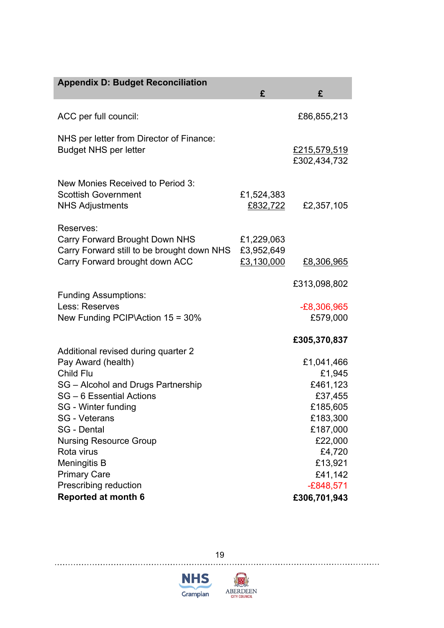| <b>Appendix D: Budget Reconciliation</b>                                                                                                                                                                                                                                                                                                                   | £                                      | £                                                                                                                                                                         |
|------------------------------------------------------------------------------------------------------------------------------------------------------------------------------------------------------------------------------------------------------------------------------------------------------------------------------------------------------------|----------------------------------------|---------------------------------------------------------------------------------------------------------------------------------------------------------------------------|
| ACC per full council:                                                                                                                                                                                                                                                                                                                                      |                                        | £86,855,213                                                                                                                                                               |
| NHS per letter from Director of Finance:<br><b>Budget NHS per letter</b>                                                                                                                                                                                                                                                                                   |                                        | £215,579,519<br>£302,434,732                                                                                                                                              |
| New Monies Received to Period 3:<br><b>Scottish Government</b><br><b>NHS Adjustments</b>                                                                                                                                                                                                                                                                   | £1,524,383<br>£832,722                 | £2,357,105                                                                                                                                                                |
| Reserves:<br>Carry Forward Brought Down NHS<br>Carry Forward still to be brought down NHS<br>Carry Forward brought down ACC                                                                                                                                                                                                                                | £1,229,063<br>£3,952,649<br>£3,130,000 | £8,306,965                                                                                                                                                                |
| <b>Funding Assumptions:</b><br>Less: Reserves<br>New Funding PCIP\Action 15 = 30%                                                                                                                                                                                                                                                                          |                                        | £313,098,802<br>$-E8,306,965$<br>£579,000                                                                                                                                 |
| Additional revised during quarter 2<br>Pay Award (health)<br>Child Flu<br>SG - Alcohol and Drugs Partnership<br>SG - 6 Essential Actions<br>SG - Winter funding<br>SG - Veterans<br><b>SG</b> - Dental<br><b>Nursing Resource Group</b><br>Rota virus<br><b>Meningitis B</b><br><b>Primary Care</b><br>Prescribing reduction<br><b>Reported at month 6</b> |                                        | £305,370,837<br>£1,041,466<br>£1,945<br>£461,123<br>£37,455<br>£185,605<br>£183,300<br>£187,000<br>£22,000<br>£4,720<br>£13,921<br>£41,142<br>$-E848,571$<br>£306,701,943 |



. . . . . . . . . . . . . . .

 $\cdots$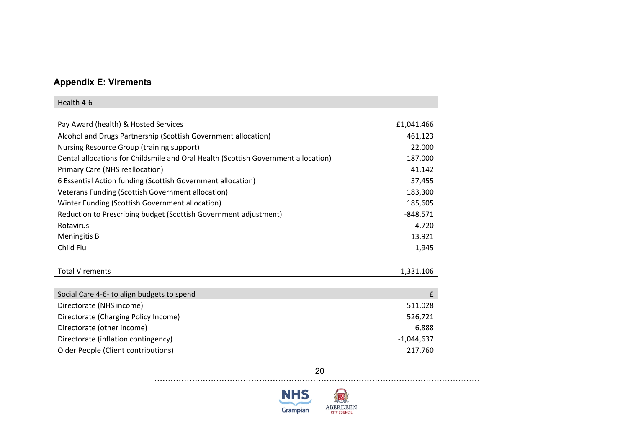## **Appendix E: Virements**

| Health 4-6                                                                         |            |
|------------------------------------------------------------------------------------|------------|
|                                                                                    |            |
| Pay Award (health) & Hosted Services                                               | £1,041,466 |
| Alcohol and Drugs Partnership (Scottish Government allocation)                     | 461.123    |
| Nursing Resource Group (training support)                                          | 22,000     |
| Dental allocations for Childsmile and Oral Health (Scottish Government allocation) | 187,000    |
| Primary Care (NHS reallocation)                                                    | 41,142     |
| 6 Essential Action funding (Scottish Government allocation)                        | 37,455     |
| Veterans Funding (Scottish Government allocation)                                  | 183,300    |
| Winter Funding (Scottish Government allocation)                                    | 185,605    |
| Reduction to Prescribing budget (Scottish Government adjustment)                   | $-848,571$ |
| Rotavirus                                                                          | 4,720      |
| Meningitis B                                                                       | 13,921     |
| Child Flu                                                                          | 1,945      |
|                                                                                    |            |

| <b>Total Virements</b> | 1,331,106 |
|------------------------|-----------|
|------------------------|-----------|

. . . . . . . . . . . . .

| Social Care 4-6- to align budgets to spend |              |
|--------------------------------------------|--------------|
| Directorate (NHS income)                   | 511,028      |
| Directorate (Charging Policy Income)       | 526,721      |
| Directorate (other income)                 | 6,888        |
| Directorate (inflation contingency)        | $-1,044,637$ |
| Older People (Client contributions)        | 217,760      |

20 . . . . . .

. . . . . . . . . . . . . . . . . .